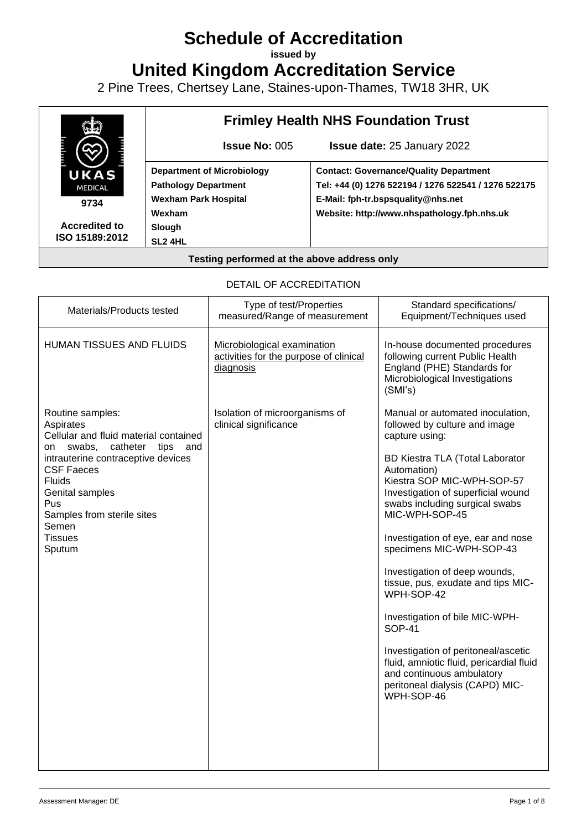# **Schedule of Accreditation**

**issued by**

**United Kingdom Accreditation Service**

2 Pine Trees, Chertsey Lane, Staines-upon-Thames, TW18 3HR, UK



#### DETAIL OF ACCREDITATION

| Materials/Products tested                                                                                                                                                                                                                                                           | Type of test/Properties<br>measured/Range of measurement                           | Standard specifications/<br>Equipment/Techniques used                                                                                                                                                                                                                                                                                                                                                                                                                                                                                                                                                                                    |
|-------------------------------------------------------------------------------------------------------------------------------------------------------------------------------------------------------------------------------------------------------------------------------------|------------------------------------------------------------------------------------|------------------------------------------------------------------------------------------------------------------------------------------------------------------------------------------------------------------------------------------------------------------------------------------------------------------------------------------------------------------------------------------------------------------------------------------------------------------------------------------------------------------------------------------------------------------------------------------------------------------------------------------|
| <b>HUMAN TISSUES AND FLUIDS</b>                                                                                                                                                                                                                                                     | Microbiological examination<br>activities for the purpose of clinical<br>diagnosis | In-house documented procedures<br>following current Public Health<br>England (PHE) Standards for<br>Microbiological Investigations<br>(SMI's)                                                                                                                                                                                                                                                                                                                                                                                                                                                                                            |
| Routine samples:<br>Aspirates<br>Cellular and fluid material contained<br>swabs,<br>catheter<br>tips<br>on<br>and<br>intrauterine contraceptive devices<br><b>CSF Faeces</b><br><b>Fluids</b><br>Genital samples<br>Pus<br>Samples from sterile sites<br>Semen<br>Tissues<br>Sputum | Isolation of microorganisms of<br>clinical significance                            | Manual or automated inoculation,<br>followed by culture and image<br>capture using:<br>BD Kiestra TLA (Total Laborator<br>Automation)<br>Kiestra SOP MIC-WPH-SOP-57<br>Investigation of superficial wound<br>swabs including surgical swabs<br>MIC-WPH-SOP-45<br>Investigation of eye, ear and nose<br>specimens MIC-WPH-SOP-43<br>Investigation of deep wounds,<br>tissue, pus, exudate and tips MIC-<br>WPH-SOP-42<br>Investigation of bile MIC-WPH-<br><b>SOP-41</b><br>Investigation of peritoneal/ascetic<br>fluid, amniotic fluid, pericardial fluid<br>and continuous ambulatory<br>peritoneal dialysis (CAPD) MIC-<br>WPH-SOP-46 |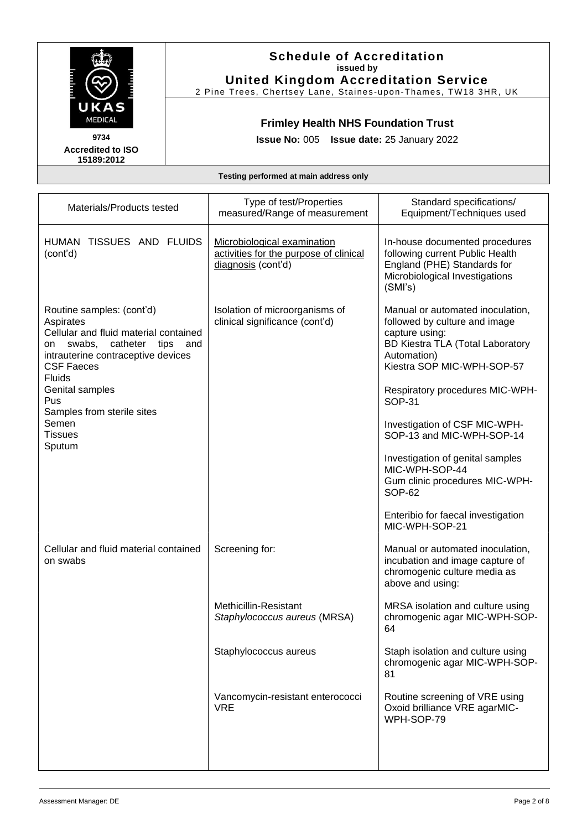

#### **Schedule of Accreditation issued by United Kingdom Accreditation Service**

2 Pine Trees, Chertsey Lane, Staines-upon-Thames, TW18 3HR, UK

## **Frimley Health NHS Foundation Trust**

**Issue No:** 005 **Issue date:** 25 January 2022

| Materials/Products tested                                                                                                                                                                                                                                                                           | Type of test/Properties<br>measured/Range of measurement                                                                                           | Standard specifications/<br>Equipment/Techniques used                                                                                                                                                                                                                                                                                                                                                                                                   |
|-----------------------------------------------------------------------------------------------------------------------------------------------------------------------------------------------------------------------------------------------------------------------------------------------------|----------------------------------------------------------------------------------------------------------------------------------------------------|---------------------------------------------------------------------------------------------------------------------------------------------------------------------------------------------------------------------------------------------------------------------------------------------------------------------------------------------------------------------------------------------------------------------------------------------------------|
| HUMAN TISSUES AND FLUIDS<br>(cont'd)                                                                                                                                                                                                                                                                | Microbiological examination<br>activities for the purpose of clinical<br>diagnosis (cont'd)                                                        | In-house documented procedures<br>following current Public Health<br>England (PHE) Standards for<br>Microbiological Investigations<br>(SMI's)                                                                                                                                                                                                                                                                                                           |
| Routine samples: (cont'd)<br>Aspirates<br>Cellular and fluid material contained<br>swabs,<br>catheter<br>tips<br>and<br>on<br>intrauterine contraceptive devices<br><b>CSF Faeces</b><br><b>Fluids</b><br>Genital samples<br>Pus<br>Samples from sterile sites<br>Semen<br><b>Tissues</b><br>Sputum | Isolation of microorganisms of<br>clinical significance (cont'd)                                                                                   | Manual or automated inoculation,<br>followed by culture and image<br>capture using:<br><b>BD Kiestra TLA (Total Laboratory</b><br>Automation)<br>Kiestra SOP MIC-WPH-SOP-57<br>Respiratory procedures MIC-WPH-<br><b>SOP-31</b><br>Investigation of CSF MIC-WPH-<br>SOP-13 and MIC-WPH-SOP-14<br>Investigation of genital samples<br>MIC-WPH-SOP-44<br>Gum clinic procedures MIC-WPH-<br>SOP-62<br>Enteribio for faecal investigation<br>MIC-WPH-SOP-21 |
| Cellular and fluid material contained<br>on swabs                                                                                                                                                                                                                                                   | Screening for:<br>Methicillin-Resistant<br>Staphylococcus aureus (MRSA)<br>Staphylococcus aureus<br>Vancomycin-resistant enterococci<br><b>VRE</b> | Manual or automated inoculation,<br>incubation and image capture of<br>chromogenic culture media as<br>above and using:<br>MRSA isolation and culture using<br>chromogenic agar MIC-WPH-SOP-<br>64<br>Staph isolation and culture using<br>chromogenic agar MIC-WPH-SOP-<br>81<br>Routine screening of VRE using<br>Oxoid brilliance VRE agarMIC-<br>WPH-SOP-79                                                                                         |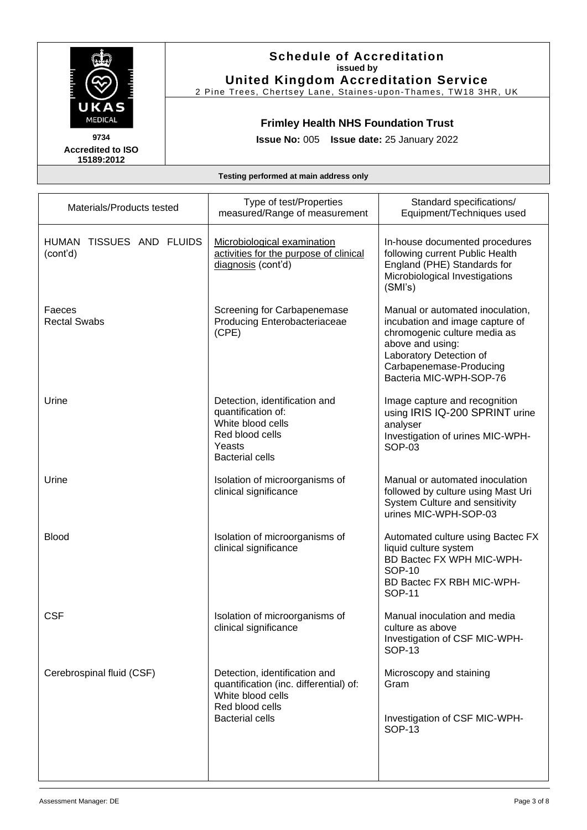

#### **Schedule of Accreditation issued by United Kingdom Accreditation Service**

2 Pine Trees, Chertsey Lane, Staines-upon-Thames, TW18 3HR, UK

## **Frimley Health NHS Foundation Trust**

**Issue No:** 005 **Issue date:** 25 January 2022

| Materials/Products tested            | Type of test/Properties<br>measured/Range of measurement                                                                                  | Standard specifications/<br>Equipment/Techniques used                                                                                                                                                    |
|--------------------------------------|-------------------------------------------------------------------------------------------------------------------------------------------|----------------------------------------------------------------------------------------------------------------------------------------------------------------------------------------------------------|
| HUMAN TISSUES AND FLUIDS<br>(cont'd) | Microbiological examination<br>activities for the purpose of clinical<br>diagnosis (cont'd)                                               | In-house documented procedures<br>following current Public Health<br>England (PHE) Standards for<br>Microbiological Investigations<br>(SMI's)                                                            |
| Faeces<br><b>Rectal Swabs</b>        | Screening for Carbapenemase<br>Producing Enterobacteriaceae<br>(CPE)                                                                      | Manual or automated inoculation,<br>incubation and image capture of<br>chromogenic culture media as<br>above and using:<br>Laboratory Detection of<br>Carbapenemase-Producing<br>Bacteria MIC-WPH-SOP-76 |
| Urine                                | Detection, identification and<br>quantification of:<br>White blood cells<br>Red blood cells<br>Yeasts<br><b>Bacterial cells</b>           | Image capture and recognition<br>using IRIS IQ-200 SPRINT urine<br>analyser<br>Investigation of urines MIC-WPH-<br><b>SOP-03</b>                                                                         |
| Urine                                | Isolation of microorganisms of<br>clinical significance                                                                                   | Manual or automated inoculation<br>followed by culture using Mast Uri<br>System Culture and sensitivity<br>urines MIC-WPH-SOP-03                                                                         |
| <b>Blood</b>                         | Isolation of microorganisms of<br>clinical significance                                                                                   | Automated culture using Bactec FX<br>liquid culture system<br>BD Bactec FX WPH MIC-WPH-<br><b>SOP-10</b><br>BD Bactec FX RBH MIC-WPH-<br><b>SOP-11</b>                                                   |
| <b>CSF</b>                           | Isolation of microorganisms of<br>clinical significance                                                                                   | Manual inoculation and media<br>culture as above<br>Investigation of CSF MIC-WPH-<br><b>SOP-13</b>                                                                                                       |
| Cerebrospinal fluid (CSF)            | Detection, identification and<br>quantification (inc. differential) of:<br>White blood cells<br>Red blood cells<br><b>Bacterial cells</b> | Microscopy and staining<br>Gram<br>Investigation of CSF MIC-WPH-<br><b>SOP-13</b>                                                                                                                        |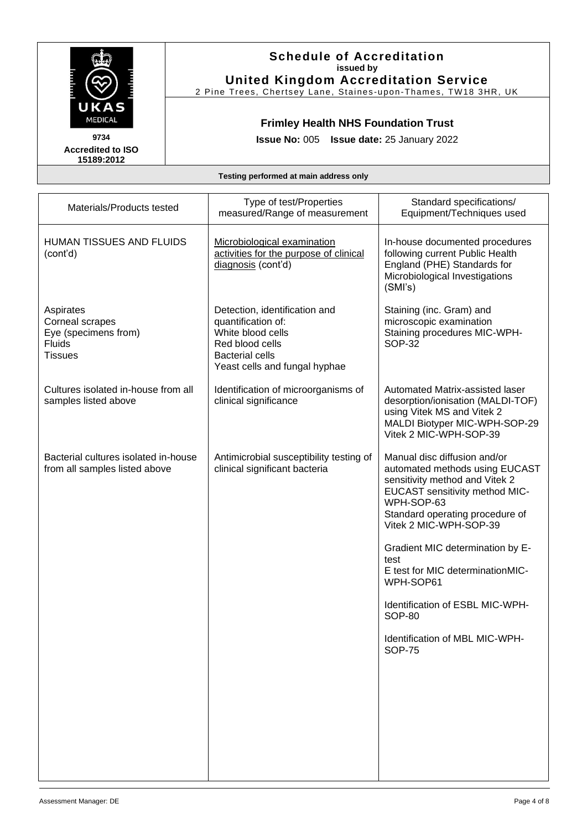

### **Schedule of Accreditation issued by United Kingdom Accreditation Service**

2 Pine Trees, Chertsey Lane, Staines-upon-Thames, TW18 3HR, UK

## **Frimley Health NHS Foundation Trust**

**Issue No:** 005 **Issue date:** 25 January 2022

| Materials/Products tested                                                               | Type of test/Properties<br>measured/Range of measurement                                                                                               | Standard specifications/<br>Equipment/Techniques used                                                                                                                                                                |
|-----------------------------------------------------------------------------------------|--------------------------------------------------------------------------------------------------------------------------------------------------------|----------------------------------------------------------------------------------------------------------------------------------------------------------------------------------------------------------------------|
| HUMAN TISSUES AND FLUIDS<br>(cont'd)                                                    | Microbiological examination<br>activities for the purpose of clinical<br>diagnosis (cont'd)                                                            | In-house documented procedures<br>following current Public Health<br>England (PHE) Standards for<br>Microbiological Investigations<br>(SMI's)                                                                        |
| Aspirates<br>Corneal scrapes<br>Eye (specimens from)<br><b>Fluids</b><br><b>Tissues</b> | Detection, identification and<br>quantification of:<br>White blood cells<br>Red blood cells<br><b>Bacterial cells</b><br>Yeast cells and fungal hyphae | Staining (inc. Gram) and<br>microscopic examination<br>Staining procedures MIC-WPH-<br><b>SOP-32</b>                                                                                                                 |
| Cultures isolated in-house from all<br>samples listed above                             | Identification of microorganisms of<br>clinical significance                                                                                           | Automated Matrix-assisted laser<br>desorption/ionisation (MALDI-TOF)<br>using Vitek MS and Vitek 2<br>MALDI Biotyper MIC-WPH-SOP-29<br>Vitek 2 MIC-WPH-SOP-39                                                        |
| Bacterial cultures isolated in-house<br>from all samples listed above                   | Antimicrobial susceptibility testing of<br>clinical significant bacteria                                                                               | Manual disc diffusion and/or<br>automated methods using EUCAST<br>sensitivity method and Vitek 2<br><b>EUCAST sensitivity method MIC-</b><br>WPH-SOP-63<br>Standard operating procedure of<br>Vitek 2 MIC-WPH-SOP-39 |
|                                                                                         |                                                                                                                                                        | Gradient MIC determination by E-<br>test<br>E test for MIC determinationMIC-<br>WPH-SOP61                                                                                                                            |
|                                                                                         |                                                                                                                                                        | Identification of ESBL MIC-WPH-<br><b>SOP-80</b>                                                                                                                                                                     |
|                                                                                         |                                                                                                                                                        | Identification of MBL MIC-WPH-<br><b>SOP-75</b>                                                                                                                                                                      |
|                                                                                         |                                                                                                                                                        |                                                                                                                                                                                                                      |
|                                                                                         |                                                                                                                                                        |                                                                                                                                                                                                                      |
|                                                                                         |                                                                                                                                                        |                                                                                                                                                                                                                      |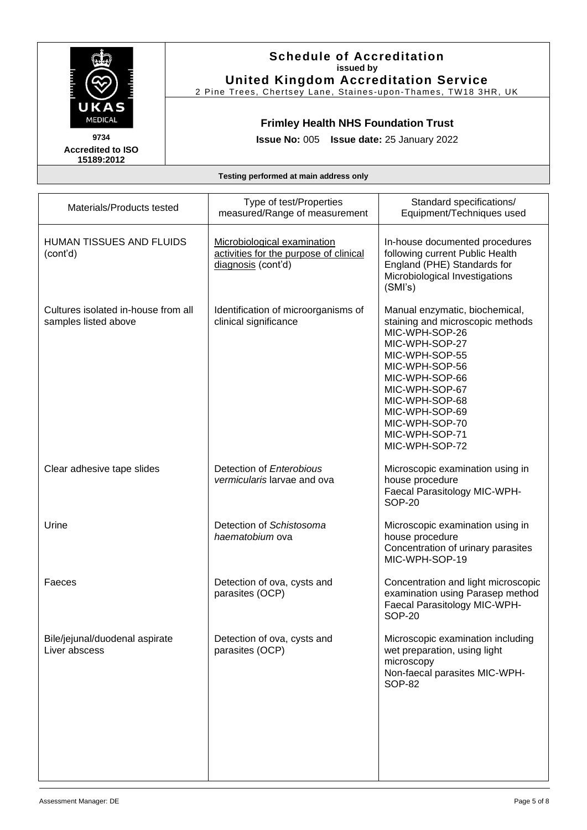

### **Schedule of Accreditation issued by United Kingdom Accreditation Service**

2 Pine Trees, Chertsey Lane, Staines-upon-Thames, TW18 3HR, UK

## **Frimley Health NHS Foundation Trust**

**Issue No:** 005 **Issue date:** 25 January 2022

| Type of test/Properties<br>measured/Range of measurement                                    | Standard specifications/<br>Equipment/Techniques used                                                                                                                                                                                                                    |
|---------------------------------------------------------------------------------------------|--------------------------------------------------------------------------------------------------------------------------------------------------------------------------------------------------------------------------------------------------------------------------|
| Microbiological examination<br>activities for the purpose of clinical<br>diagnosis (cont'd) | In-house documented procedures<br>following current Public Health<br>England (PHE) Standards for<br>Microbiological Investigations<br>(SMI's)                                                                                                                            |
| Identification of microorganisms of<br>clinical significance                                | Manual enzymatic, biochemical,<br>staining and microscopic methods<br>MIC-WPH-SOP-26<br>MIC-WPH-SOP-27<br>MIC-WPH-SOP-55<br>MIC-WPH-SOP-56<br>MIC-WPH-SOP-66<br>MIC-WPH-SOP-67<br>MIC-WPH-SOP-68<br>MIC-WPH-SOP-69<br>MIC-WPH-SOP-70<br>MIC-WPH-SOP-71<br>MIC-WPH-SOP-72 |
| Detection of Enterobious<br>vermicularis larvae and ova                                     | Microscopic examination using in<br>house procedure<br>Faecal Parasitology MIC-WPH-<br><b>SOP-20</b>                                                                                                                                                                     |
| Detection of Schistosoma<br>haematobium ova                                                 | Microscopic examination using in<br>house procedure<br>Concentration of urinary parasites<br>MIC-WPH-SOP-19                                                                                                                                                              |
| Detection of ova, cysts and<br>parasites (OCP)                                              | Concentration and light microscopic<br>examination using Parasep method<br>Faecal Parasitology MIC-WPH-<br><b>SOP-20</b>                                                                                                                                                 |
| Detection of ova, cysts and<br>parasites (OCP)                                              | Microscopic examination including<br>wet preparation, using light<br>microscopy<br>Non-faecal parasites MIC-WPH-<br><b>SOP-82</b>                                                                                                                                        |
|                                                                                             |                                                                                                                                                                                                                                                                          |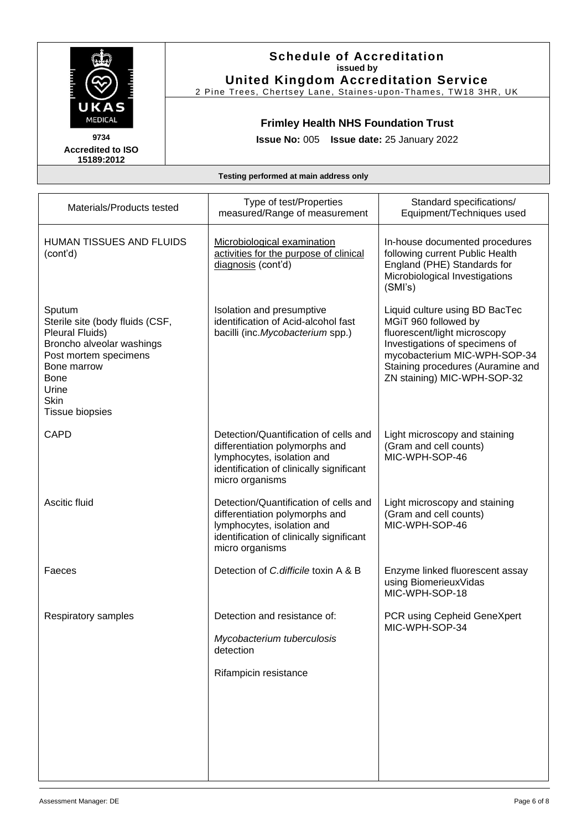| <b>The Second Property</b><br>Ē<br>К<br><b>MEDICAL</b> |
|--------------------------------------------------------|
| 734<br>9                                               |

### **Schedule of Accreditation issued by United Kingdom Accreditation Service**

2 Pine Trees, Chertsey Lane, Staines-upon-Thames, TW18 3HR, UK

## **Frimley Health NHS Foundation Trust**

**Issue No:** 005 **Issue date:** 25 January 2022

| Materials/Products tested                                                                                                                                                                          | Type of test/Properties<br>measured/Range of measurement                                                                                                             | Standard specifications/<br>Equipment/Techniques used                                                                                                                                                                        |
|----------------------------------------------------------------------------------------------------------------------------------------------------------------------------------------------------|----------------------------------------------------------------------------------------------------------------------------------------------------------------------|------------------------------------------------------------------------------------------------------------------------------------------------------------------------------------------------------------------------------|
| HUMAN TISSUES AND FLUIDS<br>(cont'd)                                                                                                                                                               | Microbiological examination<br>activities for the purpose of clinical<br>diagnosis (cont'd)                                                                          | In-house documented procedures<br>following current Public Health<br>England (PHE) Standards for<br>Microbiological Investigations<br>(SMI's)                                                                                |
| Sputum<br>Sterile site (body fluids (CSF,<br>Pleural Fluids)<br>Broncho alveolar washings<br>Post mortem specimens<br>Bone marrow<br><b>Bone</b><br>Urine<br><b>Skin</b><br><b>Tissue biopsies</b> | Isolation and presumptive<br>identification of Acid-alcohol fast<br>bacilli (inc. Mycobacterium spp.)                                                                | Liquid culture using BD BacTec<br>MGiT 960 followed by<br>fluorescent/light microscopy<br>Investigations of specimens of<br>mycobacterium MIC-WPH-SOP-34<br>Staining procedures (Auramine and<br>ZN staining) MIC-WPH-SOP-32 |
| <b>CAPD</b>                                                                                                                                                                                        | Detection/Quantification of cells and<br>differentiation polymorphs and<br>lymphocytes, isolation and<br>identification of clinically significant<br>micro organisms | Light microscopy and staining<br>(Gram and cell counts)<br>MIC-WPH-SOP-46                                                                                                                                                    |
| Ascitic fluid                                                                                                                                                                                      | Detection/Quantification of cells and<br>differentiation polymorphs and<br>lymphocytes, isolation and<br>identification of clinically significant<br>micro organisms | Light microscopy and staining<br>(Gram and cell counts)<br>MIC-WPH-SOP-46                                                                                                                                                    |
| Faeces                                                                                                                                                                                             | Detection of C.difficile toxin A & B                                                                                                                                 | Enzyme linked fluorescent assay<br>using BiomerieuxVidas<br>MIC-WPH-SOP-18                                                                                                                                                   |
| Respiratory samples                                                                                                                                                                                | Detection and resistance of:<br>Mycobacterium tuberculosis<br>detection<br>Rifampicin resistance                                                                     | PCR using Cepheid GeneXpert<br>MIC-WPH-SOP-34                                                                                                                                                                                |
|                                                                                                                                                                                                    |                                                                                                                                                                      |                                                                                                                                                                                                                              |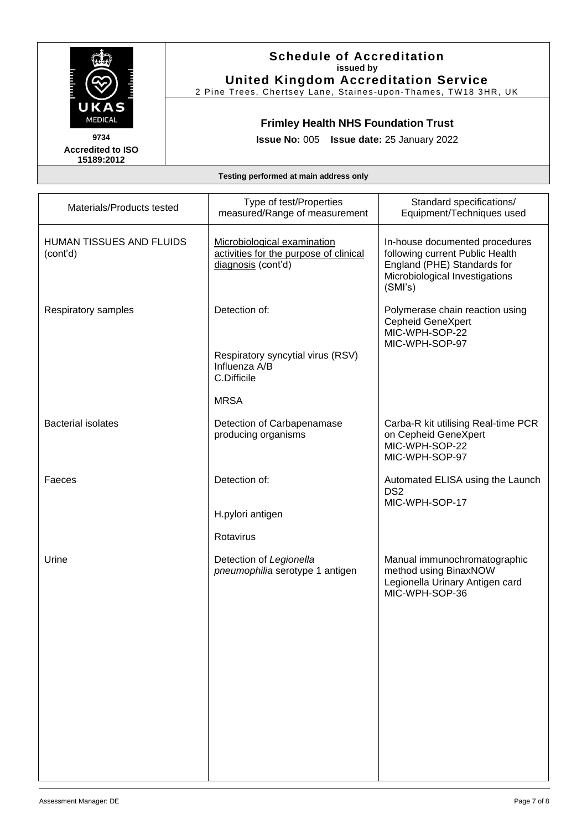| <u>in the property</u><br>i<br>E<br>К<br>MEDICAL<br>ı |
|-------------------------------------------------------|
| 9734                                                  |

### **Schedule of Accreditation issued by United Kingdom Accreditation Service**

2 Pine Trees, Chertsey Lane, Staines-upon-Thames, TW18 3HR, UK

## **Frimley Health NHS Foundation Trust**

**Issue No:** 005 **Issue date:** 25 January 2022

| Materials/Products tested            | Type of test/Properties<br>measured/Range of measurement                                    | Standard specifications/<br>Equipment/Techniques used                                                                                         |
|--------------------------------------|---------------------------------------------------------------------------------------------|-----------------------------------------------------------------------------------------------------------------------------------------------|
| HUMAN TISSUES AND FLUIDS<br>(cont'd) | Microbiological examination<br>activities for the purpose of clinical<br>diagnosis (cont'd) | In-house documented procedures<br>following current Public Health<br>England (PHE) Standards for<br>Microbiological Investigations<br>(SMI's) |
| Respiratory samples                  | Detection of:<br>Respiratory syncytial virus (RSV)<br>Influenza A/B<br>C.Difficile          | Polymerase chain reaction using<br><b>Cepheid GeneXpert</b><br>MIC-WPH-SOP-22<br>MIC-WPH-SOP-97                                               |
| <b>Bacterial isolates</b>            | <b>MRSA</b><br>Detection of Carbapenamase<br>producing organisms                            | Carba-R kit utilising Real-time PCR<br>on Cepheid GeneXpert<br>MIC-WPH-SOP-22<br>MIC-WPH-SOP-97                                               |
| Faeces                               | Detection of:<br>H.pylori antigen<br>Rotavirus                                              | Automated ELISA using the Launch<br>DS <sub>2</sub><br>MIC-WPH-SOP-17                                                                         |
| Urine                                | Detection of Legionella<br>pneumophilia serotype 1 antigen                                  | Manual immunochromatographic<br>method using BinaxNOW<br>Legionella Urinary Antigen card<br>MIC-WPH-SOP-36                                    |